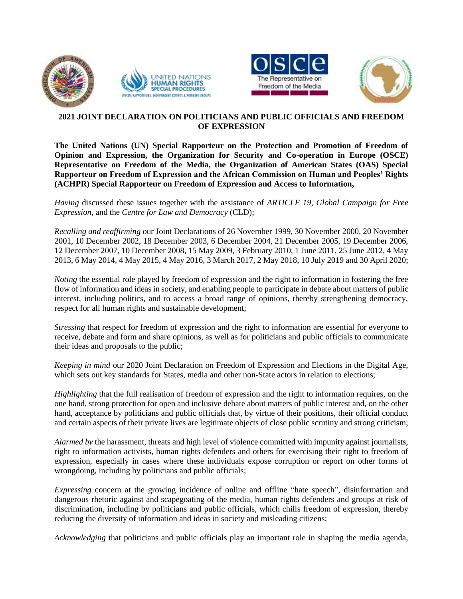







## **2021 JOINT DECLARATION ON POLITICIANS AND PUBLIC OFFICIALS AND FREEDOM OF EXPRESSION**

**The United Nations (UN) Special Rapporteur on the Protection and Promotion of Freedom of Opinion and Expression, the Organization for Security and Co-operation in Europe (OSCE) Representative on Freedom of the Media, the Organization of American States (OAS) Special Rapporteur on Freedom of Expression and the African Commission on Human and Peoples' Rights (ACHPR) Special Rapporteur on Freedom of Expression and Access to Information,**

*Having* discussed these issues together with the assistance of *ARTICLE 19, Global Campaign for Free Expression,* and the *Centre for Law and Democracy* (CLD);

*Recalling and reaffirming* our Joint Declarations of 26 November 1999, 30 November 2000, 20 November 2001, 10 December 2002, 18 December 2003, 6 December 2004, 21 December 2005, 19 December 2006, 12 December 2007, 10 December 2008, 15 May 2009, 3 February 2010, 1 June 2011, 25 June 2012, 4 May 2013, 6 May 2014, 4 May 2015, 4 May 2016, 3 March 2017, 2 May 2018, 10 July 2019 and 30 April 2020;

*Noting* the essential role played by freedom of expression and the right to information in fostering the free flow of information and ideas in society, and enabling people to participate in debate about matters of public interest, including politics, and to access a broad range of opinions, thereby strengthening democracy, respect for all human rights and sustainable development;

*Stressing* that respect for freedom of expression and the right to information are essential for everyone to receive, debate and form and share opinions, as well as for politicians and public officials to communicate their ideas and proposals to the public;

*Keeping in mind* our 2020 Joint Declaration on Freedom of Expression and Elections in the Digital Age, which sets out key standards for States, media and other non-State actors in relation to elections;

*Highlighting* that the full realisation of freedom of expression and the right to information requires, on the one hand, strong protection for open and inclusive debate about matters of public interest and, on the other hand, acceptance by politicians and public officials that, by virtue of their positions, their official conduct and certain aspects of their private lives are legitimate objects of close public scrutiny and strong criticism;

*Alarmed by* the harassment, threats and high level of violence committed with impunity against journalists, right to information activists, human rights defenders and others for exercising their right to freedom of expression, especially in cases where these individuals expose corruption or report on other forms of wrongdoing, including by politicians and public officials;

*Expressing* concern at the growing incidence of online and offline "hate speech", disinformation and dangerous rhetoric against and scapegoating of the media, human rights defenders and groups at risk of discrimination, including by politicians and public officials, which chills freedom of expression, thereby reducing the diversity of information and ideas in society and misleading citizens;

*Acknowledging* that politicians and public officials play an important role in shaping the media agenda,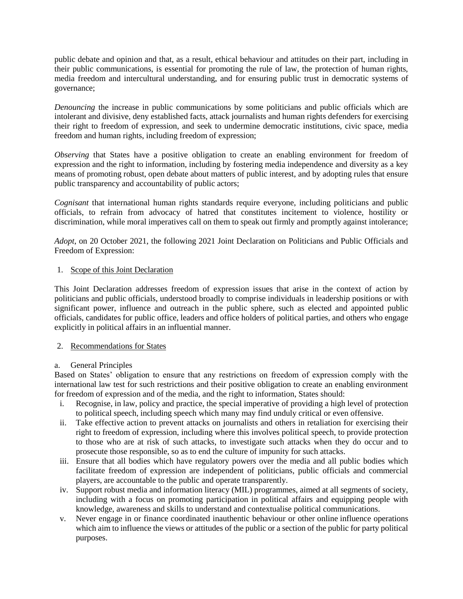public debate and opinion and that, as a result, ethical behaviour and attitudes on their part, including in their public communications, is essential for promoting the rule of law, the protection of human rights, media freedom and intercultural understanding, and for ensuring public trust in democratic systems of governance;

*Denouncing* the increase in public communications by some politicians and public officials which are intolerant and divisive, deny established facts, attack journalists and human rights defenders for exercising their right to freedom of expression, and seek to undermine democratic institutions, civic space, media freedom and human rights, including freedom of expression;

*Observing* that States have a positive obligation to create an enabling environment for freedom of expression and the right to information, including by fostering media independence and diversity as a key means of promoting robust, open debate about matters of public interest, and by adopting rules that ensure public transparency and accountability of public actors;

*Cognisant* that international human rights standards require everyone, including politicians and public officials, to refrain from advocacy of hatred that constitutes incitement to violence, hostility or discrimination, while moral imperatives call on them to speak out firmly and promptly against intolerance;

*Adopt*, on 20 October 2021, the following 2021 Joint Declaration on Politicians and Public Officials and Freedom of Expression:

### 1. Scope of this Joint Declaration

This Joint Declaration addresses freedom of expression issues that arise in the context of action by politicians and public officials, understood broadly to comprise individuals in leadership positions or with significant power, influence and outreach in the public sphere, such as elected and appointed public officials, candidates for public office, leaders and office holders of political parties, and others who engage explicitly in political affairs in an influential manner.

### 2. Recommendations for States

### a. General Principles

Based on States' obligation to ensure that any restrictions on freedom of expression comply with the international law test for such restrictions and their positive obligation to create an enabling environment for freedom of expression and of the media, and the right to information, States should:

- i. Recognise, in law, policy and practice, the special imperative of providing a high level of protection to political speech, including speech which many may find unduly critical or even offensive.
- ii. Take effective action to prevent attacks on journalists and others in retaliation for exercising their right to freedom of expression, including where this involves political speech, to provide protection to those who are at risk of such attacks, to investigate such attacks when they do occur and to prosecute those responsible, so as to end the culture of impunity for such attacks.
- iii. Ensure that all bodies which have regulatory powers over the media and all public bodies which facilitate freedom of expression are independent of politicians, public officials and commercial players, are accountable to the public and operate transparently.
- iv. Support robust media and information literacy (MIL) programmes, aimed at all segments of society, including with a focus on promoting participation in political affairs and equipping people with knowledge, awareness and skills to understand and contextualise political communications.
- v. Never engage in or finance coordinated inauthentic behaviour or other online influence operations which aim to influence the views or attitudes of the public or a section of the public for party political purposes.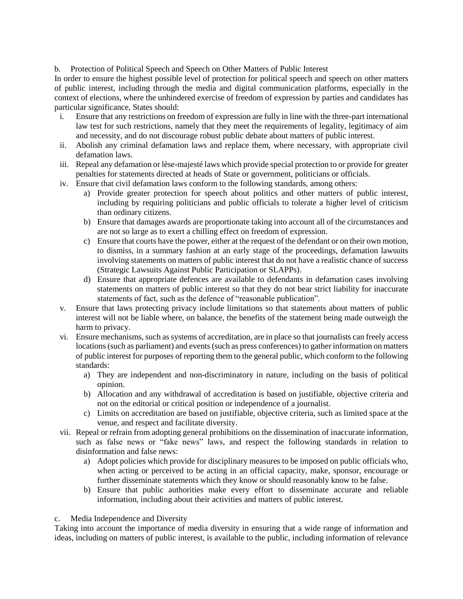b. Protection of Political Speech and Speech on Other Matters of Public Interest

In order to ensure the highest possible level of protection for political speech and speech on other matters of public interest, including through the media and digital communication platforms, especially in the context of elections, where the unhindered exercise of freedom of expression by parties and candidates has particular significance, States should:

- i. Ensure that any restrictions on freedom of expression are fully in line with the three-part international law test for such restrictions, namely that they meet the requirements of legality, legitimacy of aim and necessity, and do not discourage robust public debate about matters of public interest.
- ii. Abolish any criminal defamation laws and replace them, where necessary, with appropriate civil defamation laws.
- iii. Repeal any defamation or lèse-majesté laws which provide special protection to or provide for greater penalties for statements directed at heads of State or government, politicians or officials.
- iv. Ensure that civil defamation laws conform to the following standards, among others:
	- a) Provide greater protection for speech about politics and other matters of public interest, including by requiring politicians and public officials to tolerate a higher level of criticism than ordinary citizens.
	- b) Ensure that damages awards are proportionate taking into account all of the circumstances and are not so large as to exert a chilling effect on freedom of expression.
	- c) Ensure that courts have the power, either at the request of the defendant or on their own motion, to dismiss, in a summary fashion at an early stage of the proceedings, defamation lawsuits involving statements on matters of public interest that do not have a realistic chance of success (Strategic Lawsuits Against Public Participation or SLAPPs).
	- d) Ensure that appropriate defences are available to defendants in defamation cases involving statements on matters of public interest so that they do not bear strict liability for inaccurate statements of fact, such as the defence of "reasonable publication".
- v. Ensure that laws protecting privacy include limitations so that statements about matters of public interest will not be liable where, on balance, the benefits of the statement being made outweigh the harm to privacy.
- vi. Ensure mechanisms, such as systems of accreditation, are in place so that journalists can freely access locations (such as parliament) and events (such as press conferences) to gather information on matters of public interest for purposes of reporting them to the general public, which conform to the following standards:
	- a) They are independent and non-discriminatory in nature, including on the basis of political opinion.
	- b) Allocation and any withdrawal of accreditation is based on justifiable, objective criteria and not on the editorial or critical position or independence of a journalist.
	- c) Limits on accreditation are based on justifiable, objective criteria, such as limited space at the venue, and respect and facilitate diversity.
- vii. Repeal or refrain from adopting general prohibitions on the dissemination of inaccurate information, such as false news or "fake news" laws, and respect the following standards in relation to disinformation and false news:
	- a) Adopt policies which provide for disciplinary measures to be imposed on public officials who, when acting or perceived to be acting in an official capacity, make, sponsor, encourage or further disseminate statements which they know or should reasonably know to be false.
	- b) Ensure that public authorities make every effort to disseminate accurate and reliable information, including about their activities and matters of public interest.

# c. Media Independence and Diversity

Taking into account the importance of media diversity in ensuring that a wide range of information and ideas, including on matters of public interest, is available to the public, including information of relevance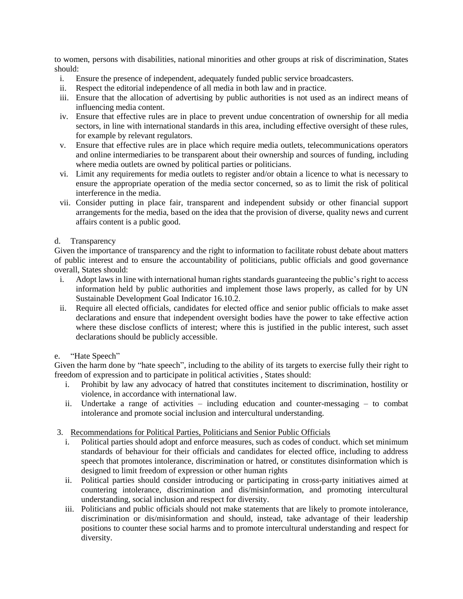to women, persons with disabilities, national minorities and other groups at risk of discrimination, States should:

- i. Ensure the presence of independent, adequately funded public service broadcasters.
- ii. Respect the editorial independence of all media in both law and in practice.
- iii. Ensure that the allocation of advertising by public authorities is not used as an indirect means of influencing media content.
- iv. Ensure that effective rules are in place to prevent undue concentration of ownership for all media sectors, in line with international standards in this area, including effective oversight of these rules, for example by relevant regulators.
- v. Ensure that effective rules are in place which require media outlets, telecommunications operators and online intermediaries to be transparent about their ownership and sources of funding, including where media outlets are owned by political parties or politicians.
- vi. Limit any requirements for media outlets to register and/or obtain a licence to what is necessary to ensure the appropriate operation of the media sector concerned, so as to limit the risk of political interference in the media.
- vii. Consider putting in place fair, transparent and independent subsidy or other financial support arrangements for the media, based on the idea that the provision of diverse, quality news and current affairs content is a public good.

## d. Transparency

Given the importance of transparency and the right to information to facilitate robust debate about matters of public interest and to ensure the accountability of politicians, public officials and good governance overall, States should:

- i. Adopt laws in line with international human rights standards guaranteeing the public's right to access information held by public authorities and implement those laws properly, as called for by UN Sustainable Development Goal Indicator 16.10.2.
- ii. Require all elected officials, candidates for elected office and senior public officials to make asset declarations and ensure that independent oversight bodies have the power to take effective action where these disclose conflicts of interest; where this is justified in the public interest, such asset declarations should be publicly accessible.

### e. "Hate Speech"

Given the harm done by "hate speech", including to the ability of its targets to exercise fully their right to freedom of expression and to participate in political activities , States should:

- i. Prohibit by law any advocacy of hatred that constitutes incitement to discrimination, hostility or violence, in accordance with international law.
- ii. Undertake a range of activities including education and counter-messaging to combat intolerance and promote social inclusion and intercultural understanding.

# 3. Recommendations for Political Parties, Politicians and Senior Public Officials

- i. Political parties should adopt and enforce measures, such as codes of conduct. which set minimum standards of behaviour for their officials and candidates for elected office, including to address speech that promotes intolerance, discrimination or hatred, or constitutes disinformation which is designed to limit freedom of expression or other human rights
- ii. Political parties should consider introducing or participating in cross-party initiatives aimed at countering intolerance, discrimination and dis/misinformation, and promoting intercultural understanding, social inclusion and respect for diversity.
- iii. Politicians and public officials should not make statements that are likely to promote intolerance, discrimination or dis/misinformation and should, instead, take advantage of their leadership positions to counter these social harms and to promote intercultural understanding and respect for diversity.